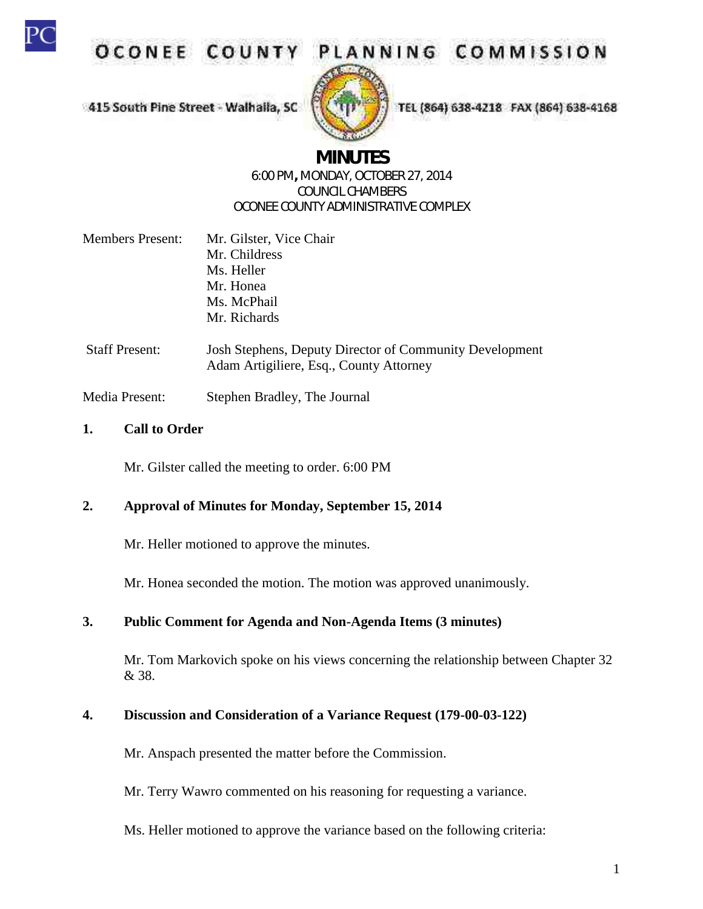

OCONEE COUNT

PLANNING COMMISSION

415 South Pine Street - Walhaila, SC



TEL (864) 638-4218 FAX (864) 638-4168

# **MINUTES**

#### 6:00 PM**,** MONDAY, OCTOBER 27, 2014 COUNCIL CHAMBERS OCONEE COUNTY ADMINISTRATIVE COMPLEX

| <b>Members Present:</b> | Mr. Gilster, Vice Chair |  |
|-------------------------|-------------------------|--|
|                         | Mr. Childress           |  |
|                         | Ms. Heller              |  |
|                         | Mr. Honea               |  |
|                         | Ms. McPhail             |  |
|                         | Mr. Richards            |  |
|                         |                         |  |

Staff Present: Josh Stephens, Deputy Director of Community Development Adam Artigiliere, Esq., County Attorney

Media Present: Stephen Bradley, The Journal

#### **1. Call to Order**

Mr. Gilster called the meeting to order. 6:00 PM

## **2. Approval of Minutes for Monday, September 15, 2014**

Mr. Heller motioned to approve the minutes.

Mr. Honea seconded the motion. The motion was approved unanimously.

## **3. Public Comment for Agenda and Non-Agenda Items (3 minutes)**

Mr. Tom Markovich spoke on his views concerning the relationship between Chapter 32 & 38.

#### **4. Discussion and Consideration of a Variance Request (179-00-03-122)**

Mr. Anspach presented the matter before the Commission.

Mr. Terry Wawro commented on his reasoning for requesting a variance.

Ms. Heller motioned to approve the variance based on the following criteria: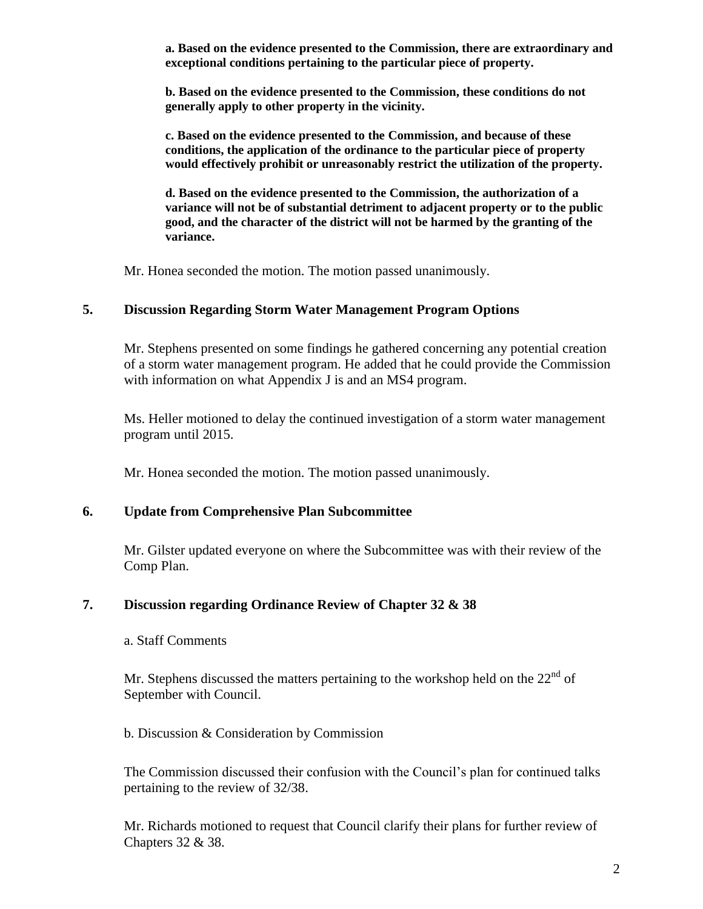**a. Based on the evidence presented to the Commission, there are extraordinary and exceptional conditions pertaining to the particular piece of property.** 

**b. Based on the evidence presented to the Commission, these conditions do not generally apply to other property in the vicinity.**

**c. Based on the evidence presented to the Commission, and because of these conditions, the application of the ordinance to the particular piece of property would effectively prohibit or unreasonably restrict the utilization of the property.** 

**d. Based on the evidence presented to the Commission, the authorization of a variance will not be of substantial detriment to adjacent property or to the public good, and the character of the district will not be harmed by the granting of the variance.** 

Mr. Honea seconded the motion. The motion passed unanimously.

#### **5. Discussion Regarding Storm Water Management Program Options**

Mr. Stephens presented on some findings he gathered concerning any potential creation of a storm water management program. He added that he could provide the Commission with information on what Appendix J is and an MS4 program.

Ms. Heller motioned to delay the continued investigation of a storm water management program until 2015.

Mr. Honea seconded the motion. The motion passed unanimously.

#### **6. Update from Comprehensive Plan Subcommittee**

Mr. Gilster updated everyone on where the Subcommittee was with their review of the Comp Plan.

#### **7. Discussion regarding Ordinance Review of Chapter 32 & 38**

#### a. Staff Comments

Mr. Stephens discussed the matters pertaining to the workshop held on the  $22<sup>nd</sup>$  of September with Council.

#### b. Discussion & Consideration by Commission

The Commission discussed their confusion with the Council's plan for continued talks pertaining to the review of 32/38.

Mr. Richards motioned to request that Council clarify their plans for further review of Chapters 32 & 38.